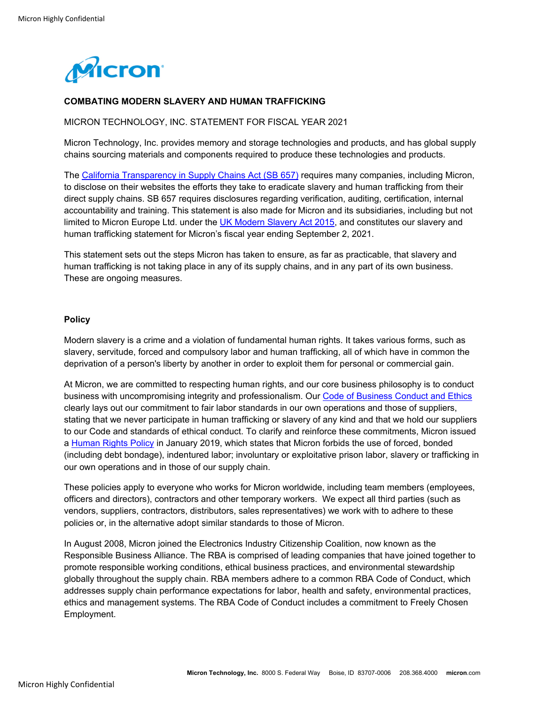

# **COMBATING MODERN SLAVERY AND HUMAN TRAFFICKING**

## MICRON TECHNOLOGY, INC. STATEMENT FOR FISCAL YEAR 2021

Micron Technology, Inc. provides memory and storage technologies and products, and has global supply chains sourcing materials and components required to produce these technologies and products.

The California Transparency in Supply Chains Act (SB 657) requires many companies, including Micron, to disclose on their websites the efforts they take to eradicate slavery and human trafficking from their direct supply chains. SB 657 requires disclosures regarding verification, auditing, certification, internal accountability and training. This statement is also made for Micron and its subsidiaries, including but not limited to Micron Europe Ltd. under the UK Modern Slavery Act 2015, and constitutes our slavery and human trafficking statement for Micron's fiscal year ending September 2, 2021.

This statement sets out the steps Micron has taken to ensure, as far as practicable, that slavery and human trafficking is not taking place in any of its supply chains, and in any part of its own business. These are ongoing measures.

## **Policy**

Modern slavery is a crime and a violation of fundamental human rights. It takes various forms, such as slavery, servitude, forced and compulsory labor and human trafficking, all of which have in common the deprivation of a person's liberty by another in order to exploit them for personal or commercial gain.

At Micron, we are committed to respecting human rights, and our core business philosophy is to conduct business with uncompromising integrity and professionalism. Our Code of Business Conduct and Ethics clearly lays out our commitment to fair labor standards in our own operations and those of suppliers, stating that we never participate in human trafficking or slavery of any kind and that we hold our suppliers to our Code and standards of ethical conduct. To clarify and reinforce these commitments, Micron issued a Human Rights Policy in January 2019, which states that Micron forbids the use of forced, bonded (including debt bondage), indentured labor; involuntary or exploitative prison labor, slavery or trafficking in our own operations and in those of our supply chain.

These policies apply to everyone who works for Micron worldwide, including team members (employees, officers and directors), contractors and other temporary workers. We expect all third parties (such as vendors, suppliers, contractors, distributors, sales representatives) we work with to adhere to these policies or, in the alternative adopt similar standards to those of Micron.

In August 2008, Micron joined the Electronics Industry Citizenship Coalition, now known as the Responsible Business Alliance. The RBA is comprised of leading companies that have joined together to promote responsible working conditions, ethical business practices, and environmental stewardship globally throughout the supply chain. RBA members adhere to a common RBA Code of Conduct, which addresses supply chain performance expectations for labor, health and safety, environmental practices, ethics and management systems. The RBA Code of Conduct includes a commitment to Freely Chosen Employment.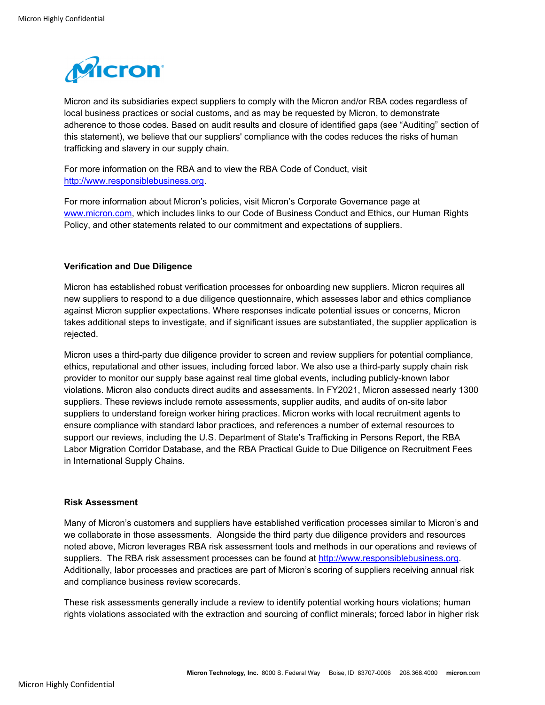

Micron and its subsidiaries expect suppliers to comply with the Micron and/or RBA codes regardless of local business practices or social customs, and as may be requested by Micron, to demonstrate adherence to those codes. Based on audit results and closure of identified gaps (see "Auditing" section of this statement), we believe that our suppliers' compliance with the codes reduces the risks of human trafficking and slavery in our supply chain.

For more information on the RBA and to view the RBA Code of Conduct, visit http://www.responsiblebusiness.org.

For more information about Micron's policies, visit Micron's Corporate Governance page at www.micron.com, which includes links to our Code of Business Conduct and Ethics, our Human Rights Policy, and other statements related to our commitment and expectations of suppliers.

# **Verification and Due Diligence**

Micron has established robust verification processes for onboarding new suppliers. Micron requires all new suppliers to respond to a due diligence questionnaire, which assesses labor and ethics compliance against Micron supplier expectations. Where responses indicate potential issues or concerns, Micron takes additional steps to investigate, and if significant issues are substantiated, the supplier application is rejected.

Micron uses a third-party due diligence provider to screen and review suppliers for potential compliance, ethics, reputational and other issues, including forced labor. We also use a third-party supply chain risk provider to monitor our supply base against real time global events, including publicly-known labor violations. Micron also conducts direct audits and assessments. In FY2021, Micron assessed nearly 1300 suppliers. These reviews include remote assessments, supplier audits, and audits of on-site labor suppliers to understand foreign worker hiring practices. Micron works with local recruitment agents to ensure compliance with standard labor practices, and references a number of external resources to support our reviews, including the U.S. Department of State's Trafficking in Persons Report, the RBA Labor Migration Corridor Database, and the RBA Practical Guide to Due Diligence on Recruitment Fees in International Supply Chains.

## **Risk Assessment**

Many of Micron's customers and suppliers have established verification processes similar to Micron's and we collaborate in those assessments. Alongside the third party due diligence providers and resources noted above, Micron leverages RBA risk assessment tools and methods in our operations and reviews of suppliers. The RBA risk assessment processes can be found at http://www.responsiblebusiness.org. Additionally, labor processes and practices are part of Micron's scoring of suppliers receiving annual risk and compliance business review scorecards.

These risk assessments generally include a review to identify potential working hours violations; human rights violations associated with the extraction and sourcing of conflict minerals; forced labor in higher risk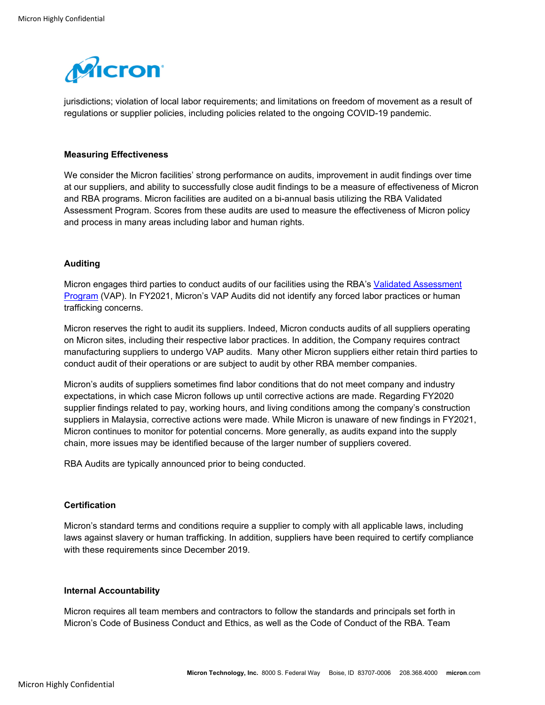

jurisdictions; violation of local labor requirements; and limitations on freedom of movement as a result of regulations or supplier policies, including policies related to the ongoing COVID-19 pandemic.

### **Measuring Effectiveness**

We consider the Micron facilities' strong performance on audits, improvement in audit findings over time at our suppliers, and ability to successfully close audit findings to be a measure of effectiveness of Micron and RBA programs. Micron facilities are audited on a bi-annual basis utilizing the RBA Validated Assessment Program. Scores from these audits are used to measure the effectiveness of Micron policy and process in many areas including labor and human rights.

### **Auditing**

Micron engages third parties to conduct audits of our facilities using the RBA's Validated Assessment Program (VAP). In FY2021, Micron's VAP Audits did not identify any forced labor practices or human trafficking concerns.

Micron reserves the right to audit its suppliers. Indeed, Micron conducts audits of all suppliers operating on Micron sites, including their respective labor practices. In addition, the Company requires contract manufacturing suppliers to undergo VAP audits. Many other Micron suppliers either retain third parties to conduct audit of their operations or are subject to audit by other RBA member companies.

Micron's audits of suppliers sometimes find labor conditions that do not meet company and industry expectations, in which case Micron follows up until corrective actions are made. Regarding FY2020 supplier findings related to pay, working hours, and living conditions among the company's construction suppliers in Malaysia, corrective actions were made. While Micron is unaware of new findings in FY2021, Micron continues to monitor for potential concerns. More generally, as audits expand into the supply chain, more issues may be identified because of the larger number of suppliers covered.

RBA Audits are typically announced prior to being conducted.

## **Certification**

Micron's standard terms and conditions require a supplier to comply with all applicable laws, including laws against slavery or human trafficking. In addition, suppliers have been required to certify compliance with these requirements since December 2019.

### **Internal Accountability**

Micron requires all team members and contractors to follow the standards and principals set forth in Micron's Code of Business Conduct and Ethics, as well as the Code of Conduct of the RBA. Team